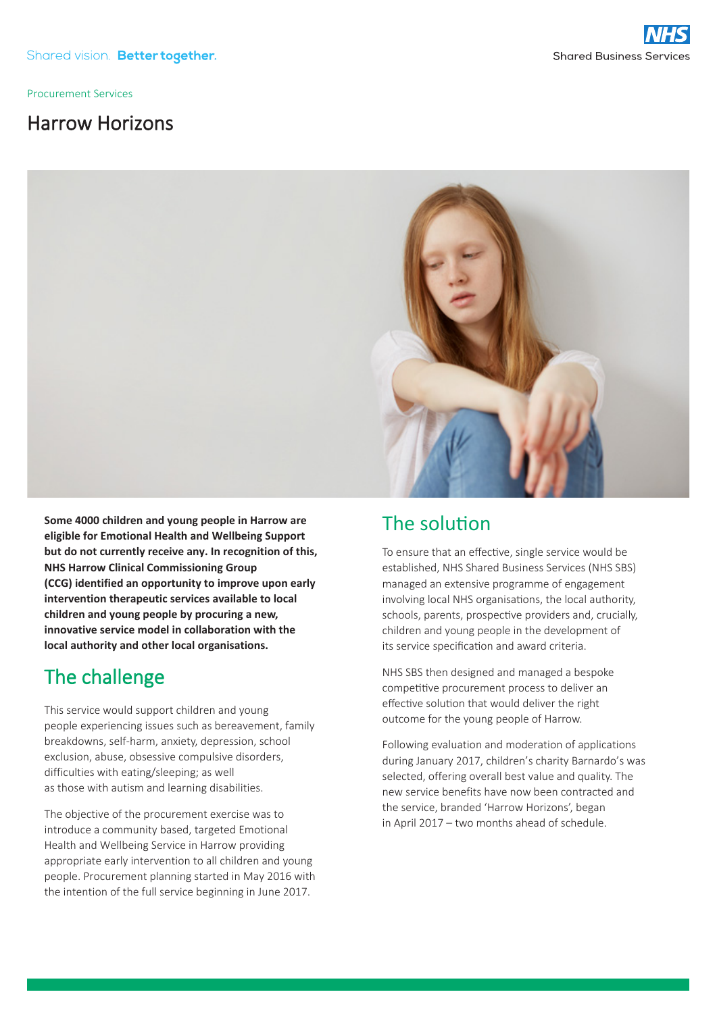Procurement Services

## Harrow Horizons



**Some 4000 children and young people in Harrow are eligible for Emotional Health and Wellbeing Support but do not currently receive any. In recognition of this, NHS Harrow Clinical Commissioning Group (CCG) identified an opportunity to improve upon early intervention therapeutic services available to local children and young people by procuring a new, innovative service model in collaboration with the local authority and other local organisations.**

# The challenge

This service would support children and young people experiencing issues such as bereavement, family breakdowns, self-harm, anxiety, depression, school exclusion, abuse, obsessive compulsive disorders, difficulties with eating/sleeping; as well as those with autism and learning disabilities.

The objective of the procurement exercise was to introduce a community based, targeted Emotional Health and Wellbeing Service in Harrow providing appropriate early intervention to all children and young people. Procurement planning started in May 2016 with the intention of the full service beginning in June 2017.

## The solution

To ensure that an effective, single service would be established, NHS Shared Business Services (NHS SBS) managed an extensive programme of engagement involving local NHS organisations, the local authority, schools, parents, prospective providers and, crucially, children and young people in the development of its service specification and award criteria.

NHS SBS then designed and managed a bespoke competitive procurement process to deliver an effective solution that would deliver the right outcome for the young people of Harrow.

Following evaluation and moderation of applications during January 2017, children's charity Barnardo's was selected, offering overall best value and quality. The new service benefits have now been contracted and the service, branded 'Harrow Horizons', began in April 2017 – two months ahead of schedule.